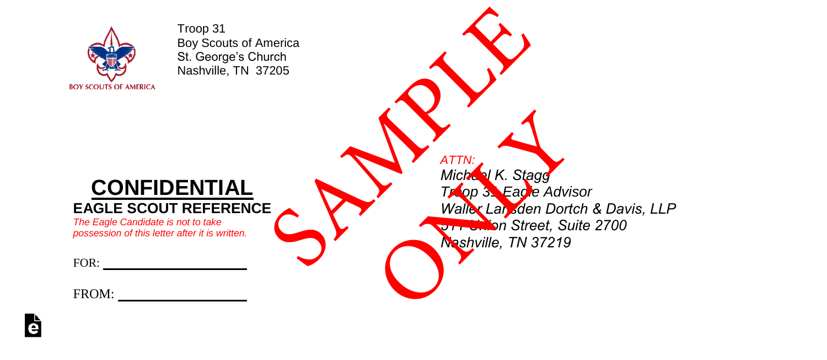

Troop 31 Boy Scouts of America St. George's Church Nashville, TN 37205

### **CONFIDENTIAL EAGLE SCOUT REFERENCE**

*The Eagle Candidate is not to take possession of this letter after it is written.*

FOR:

FROM:

*ATTN: Michael K. Stagg Troop 31 Eagle Advisor Waller Lansden Dortch & Davis, LLP 511 Union Street, Suite 2700* merica<br>
Valley La K. Stage<br> *Nathylie, K. Stage Adv.*<br> *Nalley La Sdee Adv.*<br> *Walley La Sdee Adv.*<br> *Walley La Sdee Adv.*<br> *Mishville, TN 37219* ATTN: Michael K. Stagg<br>Trop S. Eade Advis<br>Waller Landen Dort<br>Street, Sunshville, TN 37219

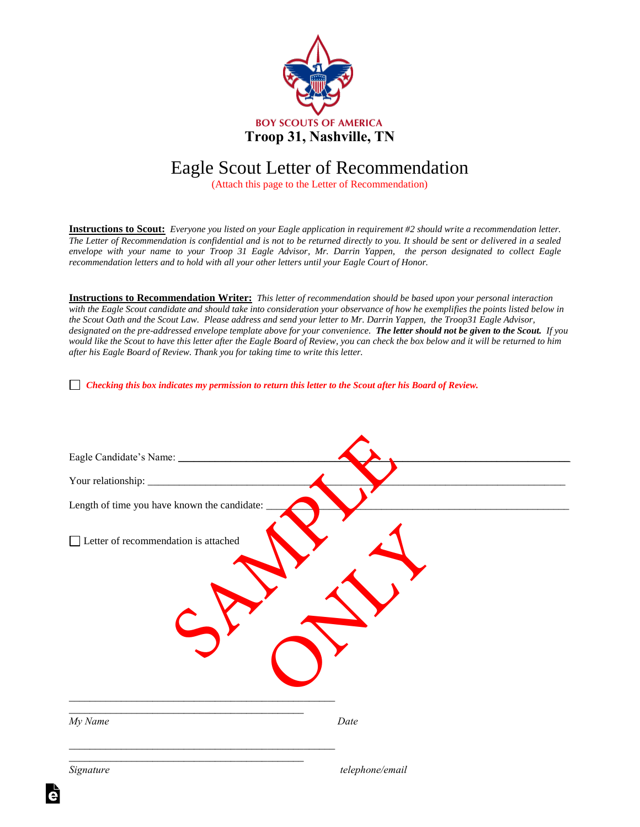

# Eagle Scout Letter of Recommendation

(Attach this page to the Letter of Recommendation)

**Instructions to Scout:** *Everyone you listed on your Eagle application in requirement #2 should write a recommendation letter. The Letter of Recommendation is confidential and is not to be returned directly to you. It should be sent or delivered in a sealed envelope with your name to your Troop 31 Eagle Advisor, Mr. Darrin Yappen, the person designated to collect Eagle recommendation letters and to hold with all your other letters until your Eagle Court of Honor.* 

**Instructions to Recommendation Writer:** *This letter of recommendation should be based upon your personal interaction with the Eagle Scout candidate and should take into consideration your observance of how he exemplifies the points listed below in the Scout Oath and the Scout Law. Please address and send your letter to Mr. Darrin Yappen, the Troop31 Eagle Advisor, designated on the pre-addressed envelope template above for your convenience. The letter should not be given to the Scout. If you would like the Scout to have this letter after the Eagle Board of Review, you can check the box below and it will be returned to him after his Eagle Board of Review. Thank you for taking time to write this letter.*

*Checking this box indicates my permission to return this letter to the Scout after his Board of Review.*

| Length of time you have known the candidate: |                 |
|----------------------------------------------|-----------------|
| Letter of recommendation is attached         |                 |
|                                              |                 |
|                                              |                 |
| My Name                                      | Date            |
| Signature                                    | telephone/email |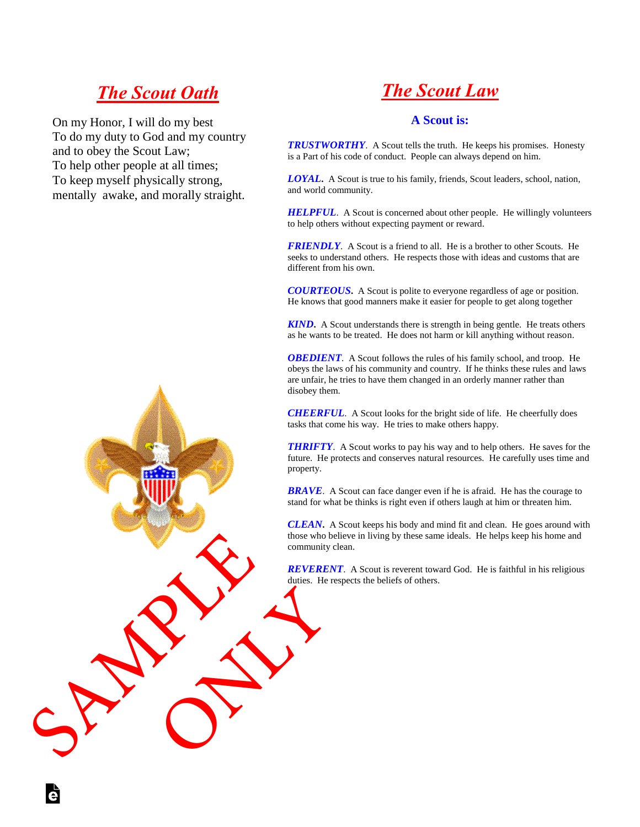# *The Scout Oath*

On my Honor, I will do my best To do my duty to God and my country and to obey the Scout Law; To help other people at all times; To keep myself physically strong, mentally awake, and morally straight.

# *The Scout Law The Scout Law*

### **A Scout is: A Scout is:**

*TRUSTWORTHY*. A Scout tells the truth. He keeps his promises. Honesty *TRUSTWORTHY*. A Scout tells the truth. He keeps his promises. Honesty is a Part of his code of conduct. People can always depend on him. is a Part of his code of conduct. People can always depend on him.

*LOYAL***.** [A Scout is true to his family, friends,](mailto:AScout@truetohisfamdyfriendsScoutleaders) Scout leaders, school, nation, *LOYAL***.** [A Scout is true to his family, friends, Scout leaders,](mailto:AScout@truetohisfamdyfriendsScoutleaders) school, nation, and world community. and world community.

*HELPFUL*. A Scout is concerned about other people. He willingly volunteers *HELPFUL*. A Scout is concerned about other people. He willingly volunteers to help others without expecting payment or reward. to help others without expecting payment or reward.

*FRIENDLY*. A Scout is a friend to all. He is a brother to other Scouts. He seeks to understand others. He respects those with ideas and customs that are  $\frac{176}{16}$ different from his own. different from his own. *FRIENDLY*. A Scout is a friend to all. He is a brother to other Scouts. He

*COURTEOUS***.** A Scout is polite to everyone regardless of age or position. He knows that good manners make it easier for people to get along together He knows that good manners make it easier for people to get along together *COURTEOUS***.** A Scout is polite to everyone regardless of age or position.

*KIND***.** A Scout understands there is strength in being gentle. He treats others as he wants to be treated. He does not harm or kill anything without reason. as he wants to be treated. He does not harm or kill anything without reason. *KIND***.** A Scout understands there is strength in being gentle. He treats others

*OBEDIENT*. A Scout follows the rules of his family school, and troop. He obeys the laws of his community and country. If he thinks these rules and laws  $\frac{1}{2}$  obeys the laws of his community and country. If he thinks these rules and laws are unfair, he tries to have them changed in an orderly manner rather than disobey them. disobey them. *OBEDIENT*. A Scout follows the rules of his family school, and troop. He

*CHEERFUL*. A Scout looks for the bright side of life. He cheerfully does *CHEERFUL*. A Scout looks for the bright side of life. He cheerfully does tasks that come his way. He tries to make others happy. tasks that come his way. He tries to make others happy.

*THRIFTY*. A Scout works to pay his way and to help others. He saves for the *THRIFTY*. A Scout works to pay his way and to help others. He saves for the future. He protects and conserves natural resources. He carefully uses time and future. He protects and conserves natural resources. He carefully uses time and property. property.

*BRAVE*. A scout can face danger even if he is afraid. He has the courage to stand for what be thinks is right even if others laugh at him or threaten him. stand for what be thinks is right even if others laugh at him or threaten him. **BRAVE**. A Scout can face danger even if he is afraid. He has the courage to

*CLEAN***.** A Scout keeps his body and mind fit and clean. He goes around with those who believe in living by these same ideals. He helps keep his home and community clean. community clean. *CLEAN***.** A Scout keeps his body and mind fit and clean. He goes around with those who believe in living by these sam<br>community clean.<br>*REVERENT*. A Scout is reverent tow<br>duties. He respects the beliefs of others.<br>All the beliefs of others.

**REVERENT**. A Scout is reverent toward God. He is faithful in his religious duties. He respects the beliefs of others. ONLY 1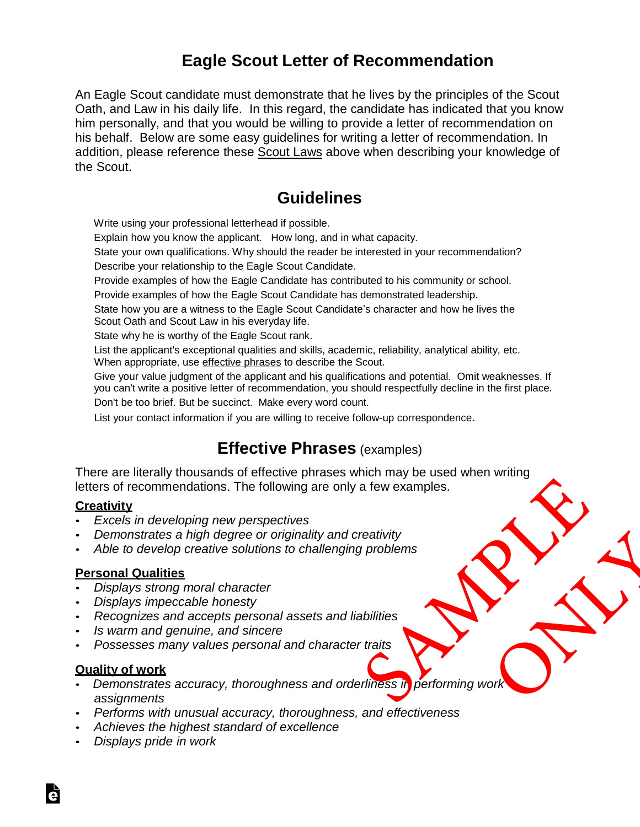# **Eagle Scout Letter of Recommendation**

An Eagle Scout candidate must demonstrate that he lives by the principles of the Scout Oath, and Law in his daily life. In this regard, the candidate has indicated that you know him personally, and that you would be willing to provide a letter of recommendation on his behalf. Below are some easy guidelines for writing a letter of recommendation. In addition, please reference these Scout Laws above when describing your knowledge of the Scout.

# **Guidelines**

Write using your professional letterhead if possible.

Explain how you know the applicant. How long, and in what capacity.

State your own qualifications. Why should the reader be interested in your recommendation? Describe your relationship to the Eagle Scout Candidate.

Provide examples of how the Eagle Candidate has contributed to his community or school.

Provide examples of how the Eagle Scout Candidate has demonstrated leadership.

State how you are a witness to the Eagle Scout Candidate's character and how he lives the Scout Oath and Scout Law in his everyday life.

State why he is worthy of the Eagle Scout rank.

List the applicant's exceptional qualities and skills, academic, reliability, analytical ability, etc. When appropriate, use effective phrases to describe the Scout.

Give your value judgment of the applicant and his qualifications and potential. Omit weaknesses. If you can't write a positive letter of recommendation, you should respectfully decline in the first place.

Don't be too brief. But be succinct. Make every word count.

List your contact information if you are willing to receive follow-up correspondence.

### **Effective Phrases** (examples)

There are literally thousands of effective phrases which may be used when writing letters of recommendations. The following are only a few examples.

#### **Creativity**

- *Excels in developing new perspectives*
- *Demonstrates a high degree or originality and creativity*
- *Able to develop creative solutions to challenging problems*

#### **Personal Qualities**

- *Displays strong moral character*
- *Displays impeccable honesty*
- *Recognizes and accepts personal assets and liabilities*
- *Is warm and genuine, and sincere*
- *Possesses many values personal and character traits*

#### **Quality of work**

- *Demonstrates accuracy, thoroughness and orderliness in performing work assignments* a few examples. ONLY 1
- *Performs with unusual accuracy, thoroughness, and effectiveness*
- *Achieves the highest standard of excellence*
- *Displays pride in work*